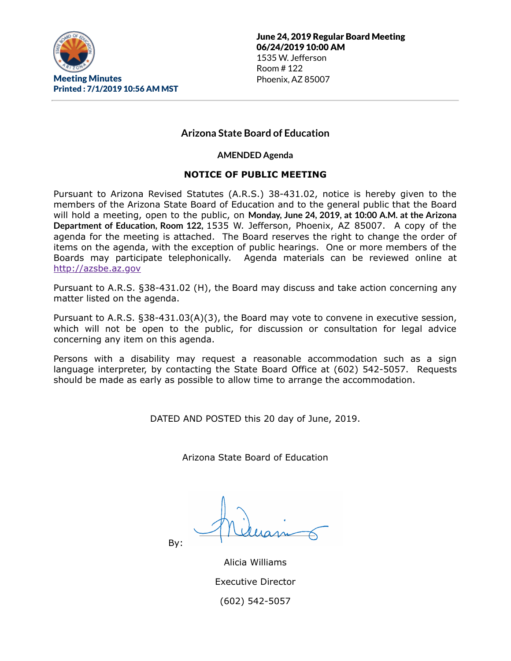

# **Arizona State Board of Education**

**AMENDED Agenda**

### **NOTICE OF PUBLIC MEETING**

Pursuant to Arizona Revised Statutes (A.R.S.) 38-431.02, notice is hereby given to the members of the Arizona State Board of Education and to the general public that the Board will hold a meeting, open to the public, on **Monday, June 24, 2019, at 10:00 A.M. at the Arizona Department of Education, Room 122,** 1535 W. Jefferson, Phoenix, AZ 85007. A copy of the agenda for the meeting is attached. The Board reserves the right to change the order of items on the agenda, with the exception of public hearings. One or more members of the Boards may participate telephonically. Agenda materials can be reviewed online at [http://azsbe.az.gov](http://azsbe.az.gov/)

Pursuant to A.R.S. §38-431.02 (H), the Board may discuss and take action concerning any matter listed on the agenda.

Pursuant to A.R.S. §38-431.03(A)(3), the Board may vote to convene in executive session, which will not be open to the public, for discussion or consultation for legal advice concerning any item on this agenda.

Persons with a disability may request a reasonable accommodation such as a sign language interpreter, by contacting the State Board Office at (602) 542-5057. Requests should be made as early as possible to allow time to arrange the accommodation.

DATED AND POSTED this 20 day of June, 2019.

Arizona State Board of Education

By:

Alicia Williams Executive Director (602) 542-5057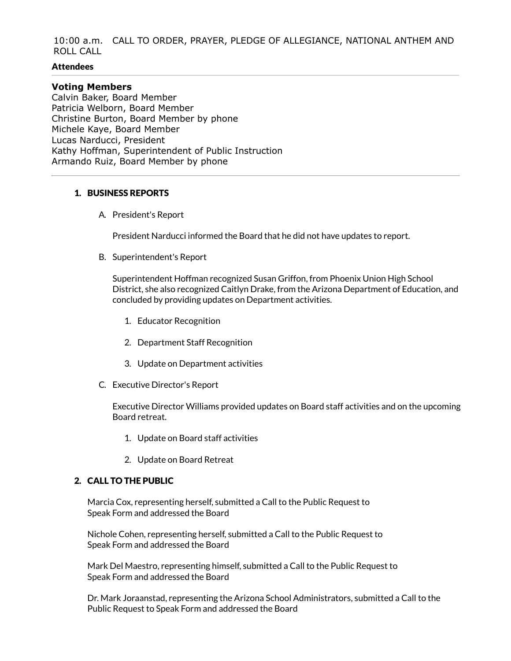10:00 a.m. CALL TO ORDER, PRAYER, PLEDGE OF ALLEGIANCE, NATIONAL ANTHEM AND ROLL CALL

#### **Attendees**

#### **Voting Members**

Calvin Baker, Board Member Patricia Welborn, Board Member Christine Burton, Board Member by phone Michele Kaye, Board Member Lucas Narducci, President Kathy Hoffman, Superintendent of Public Instruction Armando Ruiz, Board Member by phone

#### 1. BUSINESS REPORTS

A. President's Report

President Narducci informed the Board that he did not have updates to report.

B. Superintendent's Report

Superintendent Hoffman recognized Susan Griffon, from Phoenix Union High School District, she also recognized Caitlyn Drake, from the Arizona Department of Education, and concluded by providing updates on Department activities.

- 1. Educator Recognition
- 2. Department Staff Recognition
- 3. Update on Department activities
- C. Executive Director's Report

Executive Director Williams provided updates on Board staff activities and on the upcoming Board retreat.

- 1. Update on Board staff activities
- 2. Update on Board Retreat

#### 2. CALL TO THE PUBLIC

Marcia Cox, representing herself, submitted a Call to the Public Request to Speak Form and addressed the Board

Nichole Cohen, representing herself, submitted a Call to the Public Request to Speak Form and addressed the Board

Mark Del Maestro, representing himself, submitted a Call to the Public Request to Speak Form and addressed the Board

Dr. Mark Joraanstad, representing the Arizona School Administrators, submitted a Call to the Public Request to Speak Form and addressed the Board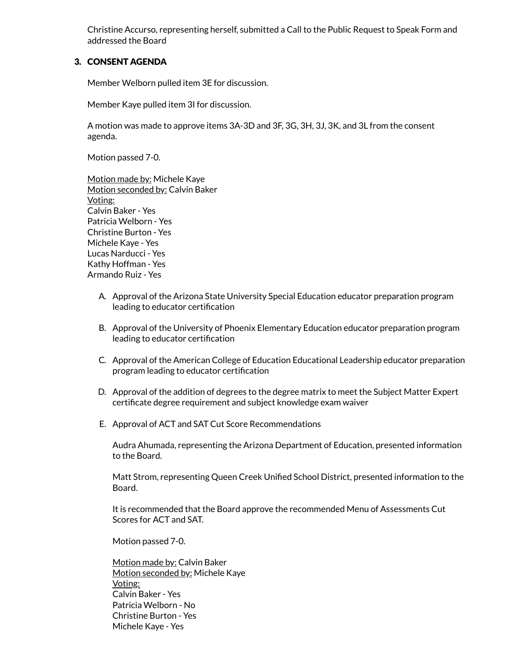Christine Accurso, representing herself, submitted a Call to the Public Request to Speak Form and addressed the Board

### 3. CONSENT AGENDA

Member Welborn pulled item 3E for discussion.

Member Kaye pulled item 3I for discussion.

A motion was made to approve items 3A-3D and 3F, 3G, 3H, 3J, 3K, and 3L from the consent agenda.

Motion passed 7-0.

Motion made by: Michele Kaye Motion seconded by: Calvin Baker Voting: Calvin Baker - Yes Patricia Welborn - Yes Christine Burton - Yes Michele Kaye - Yes Lucas Narducci - Yes Kathy Hoffman - Yes Armando Ruiz - Yes

- A. Approval of the Arizona State University Special Education educator preparation program leading to educator certification
- B. Approval of the University of Phoenix Elementary Education educator preparation program leading to educator certification
- C. Approval of the American College of Education Educational Leadership educator preparation program leading to educator certification
- D. Approval of the addition of degrees to the degree matrix to meet the Subject Matter Expert certificate degree requirement and subject knowledge exam waiver
- E. Approval of ACT and SAT Cut Score Recommendations

Audra Ahumada, representing the Arizona Department of Education, presented information to the Board.

Matt Strom, representing Queen Creek Unified School District, presented information to the Board.

It is recommended that the Board approve the recommended Menu of Assessments Cut Scores for ACT and SAT.

Motion passed 7-0.

Motion made by: Calvin Baker Motion seconded by: Michele Kaye Voting: Calvin Baker - Yes Patricia Welborn - No Christine Burton - Yes Michele Kaye - Yes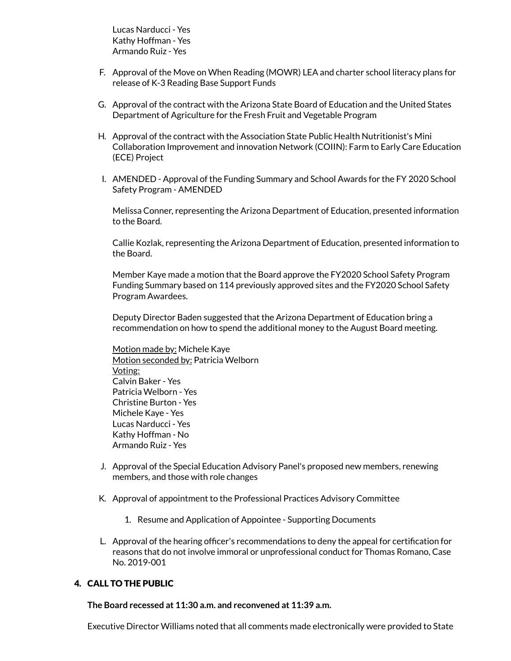Lucas Narducci - Yes Kathy Hoffman - Yes Armando Ruiz - Yes

- F. Approval of the Move on When Reading (MOWR) LEA and charter school literacy plans for release of K-3 Reading Base Support Funds
- G. Approval of the contract with the Arizona State Board of Education and the United States Department of Agriculture for the Fresh Fruit and Vegetable Program
- H. Approval of the contract with the Association State Public Health Nutritionist's Mini Collaboration Improvement and innovation Network (COIIN): Farm to Early Care Education (ECE) Project
- I. AMENDED Approval of the Funding Summary and School Awards for the FY 2020 School Safety Program - AMENDED

Melissa Conner, representing the Arizona Department of Education, presented information to the Board.

Callie Kozlak, representing the Arizona Department of Education, presented information to the Board.

Member Kaye made a motion that the Board approve the FY2020 School Safety Program Funding Summary based on 114 previously approved sites and the FY2020 School Safety Program Awardees.

Deputy Director Baden suggested that the Arizona Department of Education bring a recommendation on how to spend the additional money to the August Board meeting.

Motion made by: Michele Kaye Motion seconded by: Patricia Welborn Voting: Calvin Baker - Yes Patricia Welborn - Yes Christine Burton - Yes Michele Kaye - Yes Lucas Narducci - Yes Kathy Hoffman - No Armando Ruiz - Yes

- J. Approval of the Special Education Advisory Panel's proposed new members, renewing members, and those with role changes
- K. Approval of appointment to the Professional Practices Advisory Committee
	- 1. Resume and Application of Appointee Supporting Documents
- L. Approval of the hearing officer's recommendations to deny the appeal for certification for reasons that do not involve immoral or unprofessional conduct for Thomas Romano, Case No. 2019-001

# 4. CALL TO THE PUBLIC

**The Board recessed at 11:30 a.m. and reconvened at 11:39 a.m.**

Executive Director Williams noted that all comments made electronically were provided to State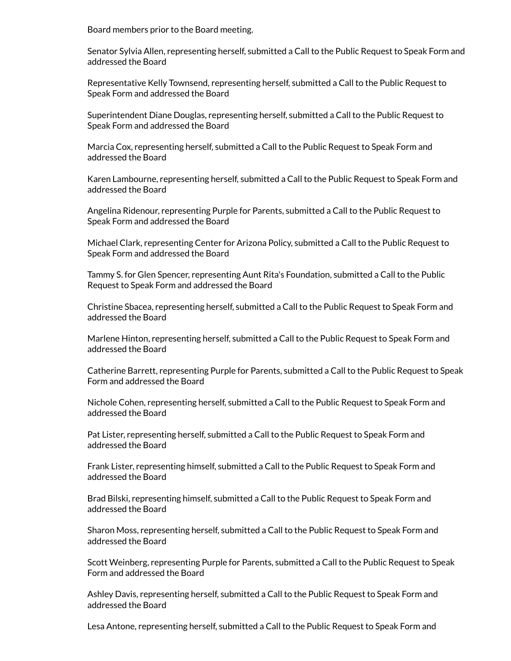Board members prior to the Board meeting.

Senator Sylvia Allen, representing herself, submitted a Call to the Public Request to Speak Form and addressed the Board

Representative Kelly Townsend, representing herself, submitted a Call to the Public Request to Speak Form and addressed the Board

Superintendent Diane Douglas, representing herself, submitted a Call to the Public Request to Speak Form and addressed the Board

Marcia Cox, representing herself, submitted a Call to the Public Request to Speak Form and addressed the Board

Karen Lambourne, representing herself, submitted a Call to the Public Request to Speak Form and addressed the Board

Angelina Ridenour, representing Purple for Parents, submitted a Call to the Public Request to Speak Form and addressed the Board

Michael Clark, representing Center for Arizona Policy, submitted a Call to the Public Request to Speak Form and addressed the Board

Tammy S. for Glen Spencer, representing Aunt Rita's Foundation, submitted a Call to the Public Request to Speak Form and addressed the Board

Christine Sbacea, representing herself, submitted a Call to the Public Request to Speak Form and addressed the Board

Marlene Hinton, representing herself, submitted a Call to the Public Request to Speak Form and addressed the Board

Catherine Barrett, representing Purple for Parents, submitted a Call to the Public Request to Speak Form and addressed the Board

Nichole Cohen, representing herself, submitted a Call to the Public Request to Speak Form and addressed the Board

Pat Lister, representing herself, submitted a Call to the Public Request to Speak Form and addressed the Board

Frank Lister, representing himself, submitted a Call to the Public Request to Speak Form and addressed the Board

Brad Bilski, representing himself, submitted a Call to the Public Request to Speak Form and addressed the Board

Sharon Moss, representing herself, submitted a Call to the Public Request to Speak Form and addressed the Board

Scott Weinberg, representing Purple for Parents, submitted a Call to the Public Request to Speak Form and addressed the Board

Ashley Davis, representing herself, submitted a Call to the Public Request to Speak Form and addressed the Board

Lesa Antone, representing herself, submitted a Call to the Public Request to Speak Form and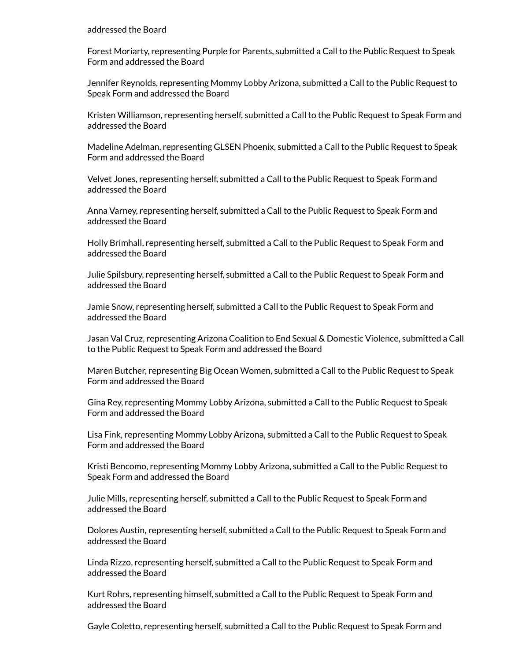#### addressed the Board

Forest Moriarty, representing Purple for Parents, submitted a Call to the Public Request to Speak Form and addressed the Board

Jennifer Reynolds, representing Mommy Lobby Arizona, submitted a Call to the Public Request to Speak Form and addressed the Board

Kristen Williamson, representing herself, submitted a Call to the Public Request to Speak Form and addressed the Board

Madeline Adelman, representing GLSEN Phoenix, submitted a Call to the Public Request to Speak Form and addressed the Board

Velvet Jones, representing herself, submitted a Call to the Public Request to Speak Form and addressed the Board

Anna Varney, representing herself, submitted a Call to the Public Request to Speak Form and addressed the Board

Holly Brimhall, representing herself, submitted a Call to the Public Request to Speak Form and addressed the Board

Julie Spilsbury, representing herself, submitted a Call to the Public Request to Speak Form and addressed the Board

Jamie Snow, representing herself, submitted a Call to the Public Request to Speak Form and addressed the Board

Jasan Val Cruz, representing Arizona Coalition to End Sexual & Domestic Violence, submitted a Call to the Public Request to Speak Form and addressed the Board

Maren Butcher, representing Big Ocean Women, submitted a Call to the Public Request to Speak Form and addressed the Board

Gina Rey, representing Mommy Lobby Arizona, submitted a Call to the Public Request to Speak Form and addressed the Board

Lisa Fink, representing Mommy Lobby Arizona, submitted a Call to the Public Request to Speak Form and addressed the Board

Kristi Bencomo, representing Mommy Lobby Arizona, submitted a Call to the Public Request to Speak Form and addressed the Board

Julie Mills, representing herself, submitted a Call to the Public Request to Speak Form and addressed the Board

Dolores Austin, representing herself, submitted a Call to the Public Request to Speak Form and addressed the Board

Linda Rizzo, representing herself, submitted a Call to the Public Request to Speak Form and addressed the Board

Kurt Rohrs, representing himself, submitted a Call to the Public Request to Speak Form and addressed the Board

Gayle Coletto, representing herself, submitted a Call to the Public Request to Speak Form and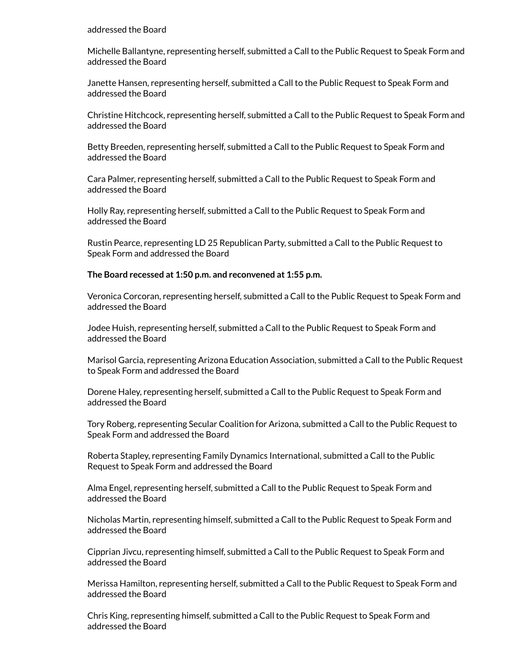#### addressed the Board

Michelle Ballantyne, representing herself, submitted a Call to the Public Request to Speak Form and addressed the Board

Janette Hansen, representing herself, submitted a Call to the Public Request to Speak Form and addressed the Board

Christine Hitchcock, representing herself, submitted a Call to the Public Request to Speak Form and addressed the Board

Betty Breeden, representing herself, submitted a Call to the Public Request to Speak Form and addressed the Board

Cara Palmer, representing herself, submitted a Call to the Public Request to Speak Form and addressed the Board

Holly Ray, representing herself, submitted a Call to the Public Request to Speak Form and addressed the Board

Rustin Pearce, representing LD 25 Republican Party, submitted a Call to the Public Request to Speak Form and addressed the Board

#### **The Board recessed at 1:50 p.m. and reconvened at 1:55 p.m.**

Veronica Corcoran, representing herself, submitted a Call to the Public Request to Speak Form and addressed the Board

Jodee Huish, representing herself, submitted a Call to the Public Request to Speak Form and addressed the Board

Marisol Garcia, representing Arizona Education Association, submitted a Call to the Public Request to Speak Form and addressed the Board

Dorene Haley, representing herself, submitted a Call to the Public Request to Speak Form and addressed the Board

Tory Roberg, representing Secular Coalition for Arizona, submitted a Call to the Public Request to Speak Form and addressed the Board

Roberta Stapley, representing Family Dynamics International, submitted a Call to the Public Request to Speak Form and addressed the Board

Alma Engel, representing herself, submitted a Call to the Public Request to Speak Form and addressed the Board

Nicholas Martin, representing himself, submitted a Call to the Public Request to Speak Form and addressed the Board

Cipprian Jivcu, representing himself, submitted a Call to the Public Request to Speak Form and addressed the Board

Merissa Hamilton, representing herself, submitted a Call to the Public Request to Speak Form and addressed the Board

Chris King, representing himself, submitted a Call to the Public Request to Speak Form and addressed the Board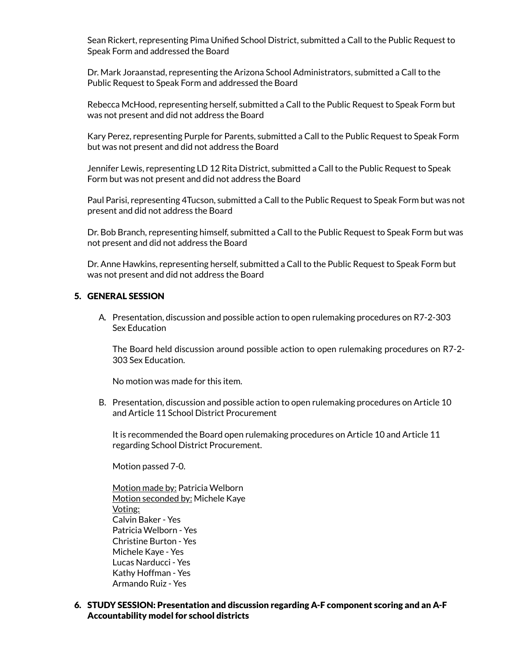Sean Rickert, representing Pima Unified School District, submitted a Call to the Public Request to Speak Form and addressed the Board

Dr. Mark Joraanstad, representing the Arizona School Administrators, submitted a Call to the Public Request to Speak Form and addressed the Board

Rebecca McHood, representing herself, submitted a Call to the Public Request to Speak Form but was not present and did not address the Board

Kary Perez, representing Purple for Parents, submitted a Call to the Public Request to Speak Form but was not present and did not address the Board

Jennifer Lewis, representing LD 12 Rita District, submitted a Call to the Public Request to Speak Form but was not present and did not address the Board

Paul Parisi, representing 4Tucson, submitted a Call to the Public Request to Speak Form but was not present and did not address the Board

Dr. Bob Branch, representing himself, submitted a Call to the Public Request to Speak Form but was not present and did not address the Board

Dr. Anne Hawkins, representing herself, submitted a Call to the Public Request to Speak Form but was not present and did not address the Board

#### 5. GENERAL SESSION

A. Presentation, discussion and possible action to open rulemaking procedures on R7-2-303 Sex Education

The Board held discussion around possible action to open rulemaking procedures on R7-2- 303 Sex Education.

No motion was made for this item.

B. Presentation, discussion and possible action to open rulemaking procedures on Article 10 and Article 11 School District Procurement

It is recommended the Board open rulemaking procedures on Article 10 and Article 11 regarding School District Procurement.

Motion passed 7-0.

Motion made by: Patricia Welborn Motion seconded by: Michele Kaye Voting: Calvin Baker - Yes Patricia Welborn - Yes Christine Burton - Yes Michele Kaye - Yes Lucas Narducci - Yes Kathy Hoffman - Yes Armando Ruiz - Yes

6. STUDY SESSION: Presentation and discussion regarding A-F component scoring and an A-F Accountability model for school districts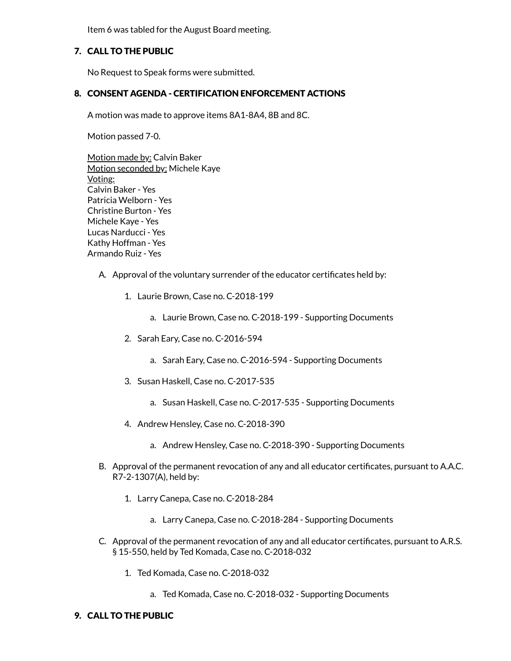Item 6 was tabled for the August Board meeting.

### 7. CALL TO THE PUBLIC

No Request to Speak forms were submitted.

### 8. CONSENT AGENDA - CERTIFICATION ENFORCEMENT ACTIONS

A motion was made to approve items 8A1-8A4, 8B and 8C.

Motion passed 7-0.

Motion made by: Calvin Baker Motion seconded by: Michele Kaye Voting: Calvin Baker - Yes Patricia Welborn - Yes Christine Burton - Yes Michele Kaye - Yes Lucas Narducci - Yes Kathy Hoffman - Yes Armando Ruiz - Yes

- A. Approval of the voluntary surrender of the educator certificates held by:
	- 1. Laurie Brown, Case no. C-2018-199
		- a. Laurie Brown, Case no. C-2018-199 Supporting Documents
	- 2. Sarah Eary, Case no. C-2016-594
		- a. Sarah Eary, Case no. C-2016-594 Supporting Documents
	- 3. Susan Haskell, Case no. C-2017-535
		- a. Susan Haskell, Case no. C-2017-535 Supporting Documents
	- 4. Andrew Hensley, Case no. C-2018-390
		- a. Andrew Hensley, Case no. C-2018-390 Supporting Documents
- B. Approval of the permanent revocation of any and all educator certificates, pursuant to A.A.C. R7-2-1307(A), held by:
	- 1. Larry Canepa, Case no. C-2018-284
		- a. Larry Canepa, Case no. C-2018-284 Supporting Documents
- C. Approval of the permanent revocation of any and all educator certificates, pursuant to A.R.S. § 15-550, held by Ted Komada, Case no. C-2018-032
	- 1. Ted Komada, Case no. C-2018-032
		- a. Ted Komada, Case no. C-2018-032 Supporting Documents

#### 9. CALL TO THE PUBLIC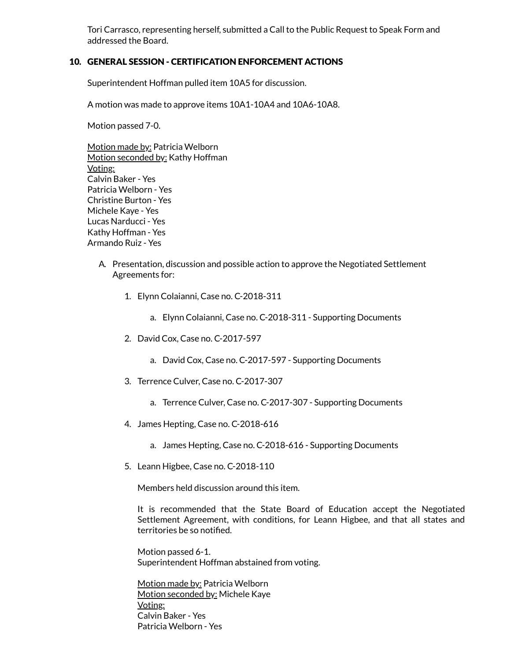Tori Carrasco, representing herself, submitted a Call to the Public Request to Speak Form and addressed the Board.

### 10. GENERAL SESSION - CERTIFICATION ENFORCEMENT ACTIONS

Superintendent Hoffman pulled item 10A5 for discussion.

A motion was made to approve items 10A1-10A4 and 10A6-10A8.

Motion passed 7-0.

Motion made by: Patricia Welborn Motion seconded by: Kathy Hoffman Voting: Calvin Baker - Yes Patricia Welborn - Yes Christine Burton - Yes Michele Kaye - Yes Lucas Narducci - Yes Kathy Hoffman - Yes Armando Ruiz - Yes

- A. Presentation, discussion and possible action to approve the Negotiated Settlement Agreements for:
	- 1. Elynn Colaianni, Case no. C-2018-311
		- a. Elynn Colaianni, Case no. C-2018-311 Supporting Documents
	- 2. David Cox, Case no. C-2017-597
		- a. David Cox, Case no. C-2017-597 Supporting Documents
	- 3. Terrence Culver, Case no. C-2017-307
		- a. Terrence Culver, Case no. C-2017-307 Supporting Documents
	- 4. James Hepting, Case no. C-2018-616
		- a. James Hepting, Case no. C-2018-616 Supporting Documents
	- 5. Leann Higbee, Case no. C-2018-110

Members held discussion around this item.

It is recommended that the State Board of Education accept the Negotiated Settlement Agreement, with conditions, for Leann Higbee, and that all states and territories be so notified.

Motion passed 6-1. Superintendent Hoffman abstained from voting.

Motion made by: Patricia Welborn Motion seconded by: Michele Kaye Voting: Calvin Baker - Yes Patricia Welborn - Yes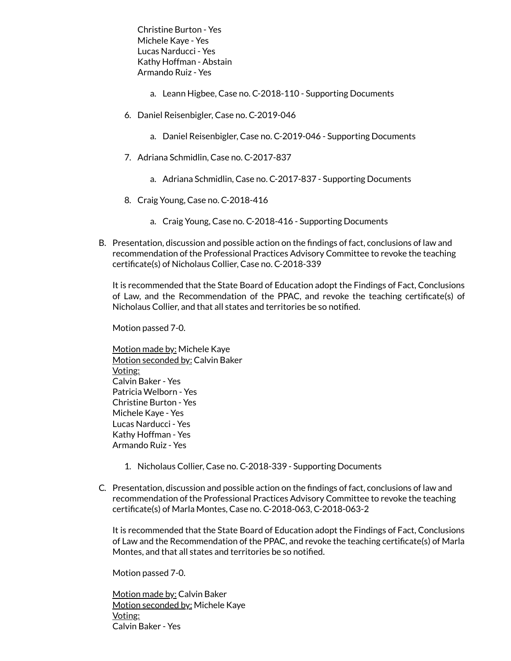Christine Burton - Yes Michele Kaye - Yes Lucas Narducci - Yes Kathy Hoffman - Abstain Armando Ruiz - Yes

- a. Leann Higbee, Case no. C-2018-110 Supporting Documents
- 6. Daniel Reisenbigler, Case no. C-2019-046
	- a. Daniel Reisenbigler, Case no. C-2019-046 Supporting Documents
- 7. Adriana Schmidlin, Case no. C-2017-837
	- a. Adriana Schmidlin, Case no. C-2017-837 Supporting Documents
- 8. Craig Young, Case no. C-2018-416
	- a. Craig Young, Case no. C-2018-416 Supporting Documents
- B. Presentation, discussion and possible action on the findings of fact, conclusions of law and recommendation of the Professional Practices Advisory Committee to revoke the teaching certificate(s) of Nicholaus Collier, Case no. C-2018-339

It is recommended that the State Board of Education adopt the Findings of Fact, Conclusions of Law, and the Recommendation of the PPAC, and revoke the teaching certificate(s) of Nicholaus Collier, and that all states and territories be so notified.

Motion passed 7-0.

Motion made by: Michele Kaye Motion seconded by: Calvin Baker Voting: Calvin Baker - Yes Patricia Welborn - Yes Christine Burton - Yes Michele Kaye - Yes Lucas Narducci - Yes Kathy Hoffman - Yes Armando Ruiz - Yes

- 1. Nicholaus Collier, Case no. C-2018-339 Supporting Documents
- C. Presentation, discussion and possible action on the findings of fact, conclusions of law and recommendation of the Professional Practices Advisory Committee to revoke the teaching certificate(s) of Marla Montes, Case no. C-2018-063, C-2018-063-2

It is recommended that the State Board of Education adopt the Findings of Fact, Conclusions of Law and the Recommendation of the PPAC, and revoke the teaching certificate(s) of Marla Montes, and that all states and territories be so notified.

Motion passed 7-0.

Motion made by: Calvin Baker Motion seconded by: Michele Kaye Voting: Calvin Baker - Yes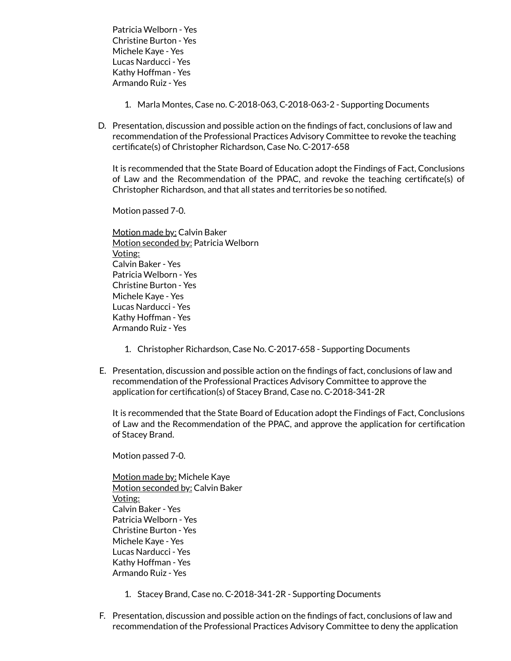Patricia Welborn - Yes Christine Burton - Yes Michele Kaye - Yes Lucas Narducci - Yes Kathy Hoffman - Yes Armando Ruiz - Yes

- 1. Marla Montes, Case no. C-2018-063, C-2018-063-2 Supporting Documents
- D. Presentation, discussion and possible action on the findings of fact, conclusions of law and recommendation of the Professional Practices Advisory Committee to revoke the teaching certificate(s) of Christopher Richardson, Case No. C-2017-658

It is recommended that the State Board of Education adopt the Findings of Fact, Conclusions of Law and the Recommendation of the PPAC, and revoke the teaching certificate(s) of Christopher Richardson, and that all states and territories be so notified.

Motion passed 7-0.

Motion made by: Calvin Baker Motion seconded by: Patricia Welborn Voting: Calvin Baker - Yes Patricia Welborn - Yes Christine Burton - Yes Michele Kaye - Yes Lucas Narducci - Yes Kathy Hoffman - Yes Armando Ruiz - Yes

- 1. Christopher Richardson, Case No. C-2017-658 Supporting Documents
- E. Presentation, discussion and possible action on the findings of fact, conclusions of law and recommendation of the Professional Practices Advisory Committee to approve the application for certification(s) of Stacey Brand, Case no. C-2018-341-2R

It is recommended that the State Board of Education adopt the Findings of Fact, Conclusions of Law and the Recommendation of the PPAC, and approve the application for certication of Stacey Brand.

Motion passed 7-0.

Motion made by: Michele Kaye Motion seconded by: Calvin Baker Voting: Calvin Baker - Yes Patricia Welborn - Yes Christine Burton - Yes Michele Kaye - Yes Lucas Narducci - Yes Kathy Hoffman - Yes Armando Ruiz - Yes

- 1. Stacey Brand, Case no. C-2018-341-2R Supporting Documents
- F. Presentation, discussion and possible action on the findings of fact, conclusions of law and recommendation of the Professional Practices Advisory Committee to deny the application